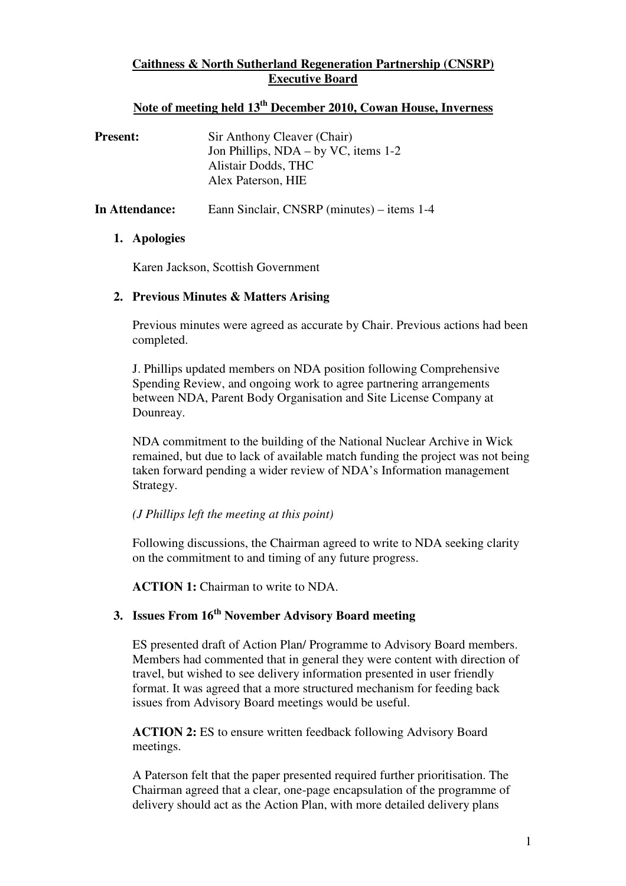# **Caithness & North Sutherland Regeneration Partnership (CNSRP) Executive Board**

# **Note of meeting held 13th December 2010, Cowan House, Inverness**

| <b>Present:</b> | Sir Anthony Cleaver (Chair)<br>Jon Phillips, $NDA - by VC$ , items 1-2<br>Alistair Dodds, THC<br>Alex Paterson, HIE |
|-----------------|---------------------------------------------------------------------------------------------------------------------|
| In Attendance:  | Eann Sinclair, CNSRP (minutes) – items 1-4                                                                          |

#### **1. Apologies**

Karen Jackson, Scottish Government

## **2. Previous Minutes & Matters Arising**

Previous minutes were agreed as accurate by Chair. Previous actions had been completed.

J. Phillips updated members on NDA position following Comprehensive Spending Review, and ongoing work to agree partnering arrangements between NDA, Parent Body Organisation and Site License Company at Dounreay.

NDA commitment to the building of the National Nuclear Archive in Wick remained, but due to lack of available match funding the project was not being taken forward pending a wider review of NDA's Information management Strategy.

#### *(J Phillips left the meeting at this point)*

Following discussions, the Chairman agreed to write to NDA seeking clarity on the commitment to and timing of any future progress.

**ACTION 1:** Chairman to write to NDA.

# **3. Issues From 16th November Advisory Board meeting**

ES presented draft of Action Plan/ Programme to Advisory Board members. Members had commented that in general they were content with direction of travel, but wished to see delivery information presented in user friendly format. It was agreed that a more structured mechanism for feeding back issues from Advisory Board meetings would be useful.

**ACTION 2:** ES to ensure written feedback following Advisory Board meetings.

A Paterson felt that the paper presented required further prioritisation. The Chairman agreed that a clear, one-page encapsulation of the programme of delivery should act as the Action Plan, with more detailed delivery plans